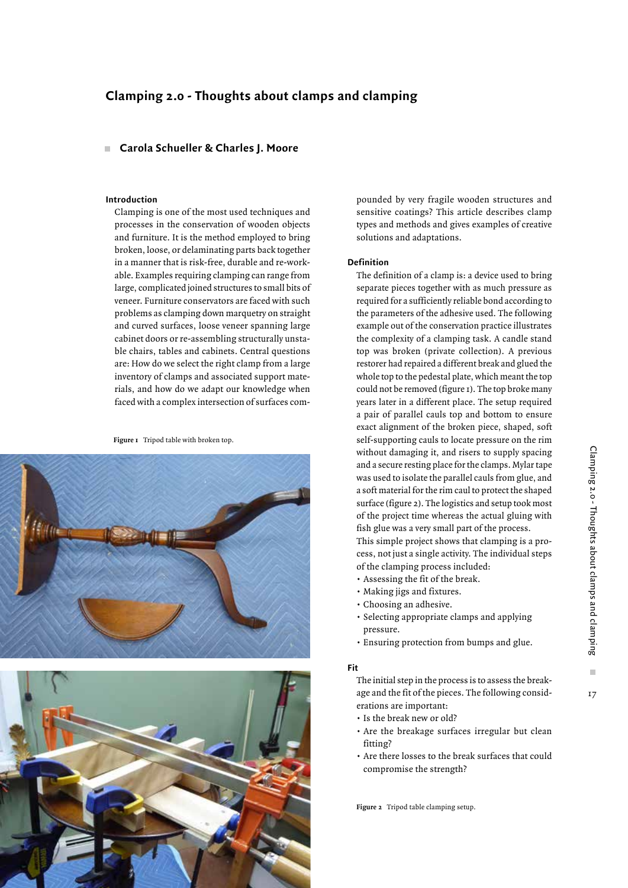# **Clamping 2.0 - Thoughts about clamps and clamping**

# **Carola Schueller & Charles J. Moore**

#### **Introduction**

Clamping is one of the most used techniques and processes in the conservation of wooden objects and furniture. It is the method employed to bring broken, loose, or delaminating parts back together in a manner that is risk-free, durable and re-workable. Examples requiring clamping can range from large, complicated joined structures to small bits of veneer. Furniture conservators are faced with such problems as clamping down marquetry on straight and curved surfaces, loose veneer spanning large cabinet doors or re-assembling structurally unstable chairs, tables and cabinets. Central questions are: How do we select the right clamp from a large inventory of clamps and associated support materials, and how do we adapt our knowledge when faced with a complex intersection of surfaces com-

**Figure 1** Tripod table with broken top.





pounded by very fragile wooden structures and sensitive coatings? This article describes clamp types and methods and gives examples of creative solutions and adaptations.

# **Definition**

The definition of a clamp is: a device used to bring separate pieces together with as much pressure as required for a sufficiently reliable bond according to the parameters of the adhesive used. The following example out of the conservation practice illustrates the complexity of a clamping task. A candle stand top was broken (private collection). A previous restorer had repaired a different break and glued the whole top to the pedestal plate, which meant the top could not be removed (figure 1). The top broke many years later in a different place. The setup required a pair of parallel cauls top and bottom to ensure exact alignment of the broken piece, shaped, soft self-supporting cauls to locate pressure on the rim without damaging it, and risers to supply spacing and a secure resting place for the clamps. Mylar tape was used to isolate the parallel cauls from glue, and a soft material for the rim caul to protect the shaped surface (figure 2). The logistics and setup took most of the project time whereas the actual gluing with fish glue was a very small part of the process. This simple project shows that clamping is a pro-

cess, not just a single activity. The individual steps of the clamping process included:

- Assessing the fit of the break.
- Making jigs and fixtures.
- Choosing an adhesive.
- Selecting appropriate clamps and applying pressure.
- Ensuring protection from bumps and glue.

#### **Fit**

The initial step in the process is to assess the breakage and the fit of the pieces. The following considerations are important:

- Is the break new or old?
- Are the breakage surfaces irregular but clean fitting?
- Are there losses to the break surfaces that could compromise the strength?

**Figure 2** Tripod table clamping setup.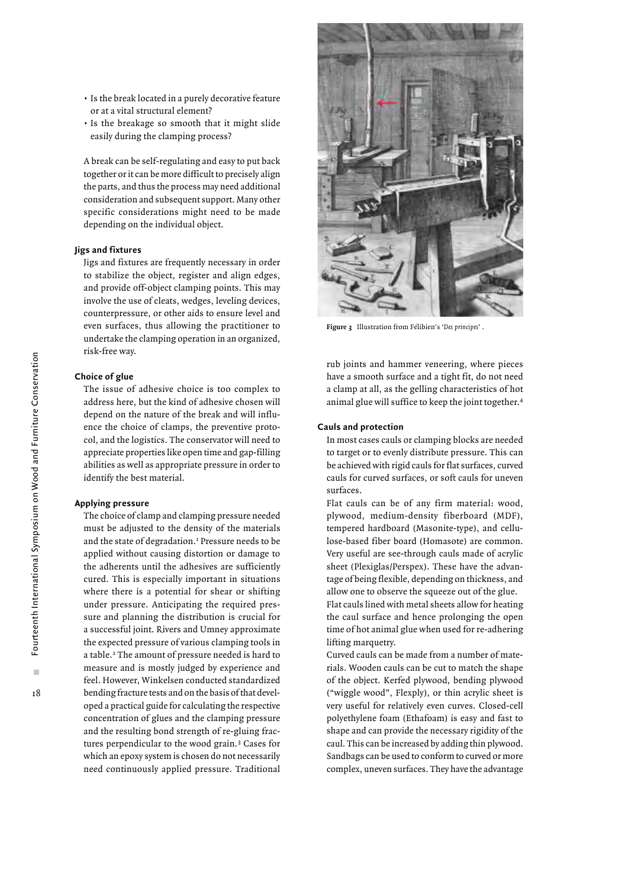- Is the break located in a purely decorative feature or at a vital structural element?
- Is the breakage so smooth that it might slide easily during the clamping process?

A break can be self-regulating and easy to put back together or it can be more difficult to precisely align the parts, and thus the process may need additional consideration and subsequent support. Many other specific considerations might need to be made depending on the individual object.

# **Jigs and fixtures**

Jigs and fixtures are frequently necessary in order to stabilize the object, register and align edges, and provide off-object clamping points. This may involve the use of cleats, wedges, leveling devices, counterpressure, or other aids to ensure level and even surfaces, thus allowing the practitioner to undertake the clamping operation in an organized, risk-free way.

## **Choice of glue**

The issue of adhesive choice is too complex to address here, but the kind of adhesive chosen will depend on the nature of the break and will influence the choice of clamps, the preventive protocol, and the logistics. The conservator will need to appreciate properties like open time and gap-filling abilities as well as appropriate pressure in order to identify the best material.

## **Applying pressure**

The choice of clamp and clamping pressure needed must be adjusted to the density of the materials and the state of degradation.<sup>1</sup> Pressure needs to be applied without causing distortion or damage to the adherents until the adhesives are sufficiently cured. This is especially important in situations where there is a potential for shear or shifting under pressure. Anticipating the required pressure and planning the distribution is crucial for a successful joint. Rivers and Umney approximate the expected pressure of various clamping tools in a table.2 The amount of pressure needed is hard to measure and is mostly judged by experience and feel. However, Winkelsen conducted standardized bending fracture tests and on the basis of that developed a practical guide for calculating the respective concentration of glues and the clamping pressure and the resulting bond strength of re-gluing fractures perpendicular to the wood grain.3 Cases for which an epoxy system is chosen do not necessarily need continuously applied pressure. Traditional



**Figure 3** Illustration from Félibien's '*Des principes*' .

rub joints and hammer veneering, where pieces have a smooth surface and a tight fit, do not need a clamp at all, as the gelling characteristics of hot animal glue will suffice to keep the joint together.4

#### **Cauls and protection**

In most cases cauls or clamping blocks are needed to target or to evenly distribute pressure. This can be achieved with rigid cauls for flat surfaces, curved cauls for curved surfaces, or soft cauls for uneven surfaces.

Flat cauls can be of any firm material: wood, plywood, medium-density fiberboard (MDF), tempered hardboard (Masonite-type), and cellulose-based fiber board (Homasote) are common. Very useful are see-through cauls made of acrylic sheet (Plexiglas/Perspex). These have the advantage of being flexible, depending on thickness, and allow one to observe the squeeze out of the glue. Flat cauls lined with metal sheets allow for heating the caul surface and hence prolonging the open time of hot animal glue when used for re-adhering lifting marquetry.

Curved cauls can be made from a number of materials. Wooden cauls can be cut to match the shape of the object. Kerfed plywood, bending plywood ("wiggle wood", Flexply), or thin acrylic sheet is very useful for relatively even curves. Closed-cell polyethylene foam (Ethafoam) is easy and fast to shape and can provide the necessary rigidity of the caul. This can be increased by adding thin plywood. Sandbags can be used to conform to curved or more complex, uneven surfaces. They have the advantage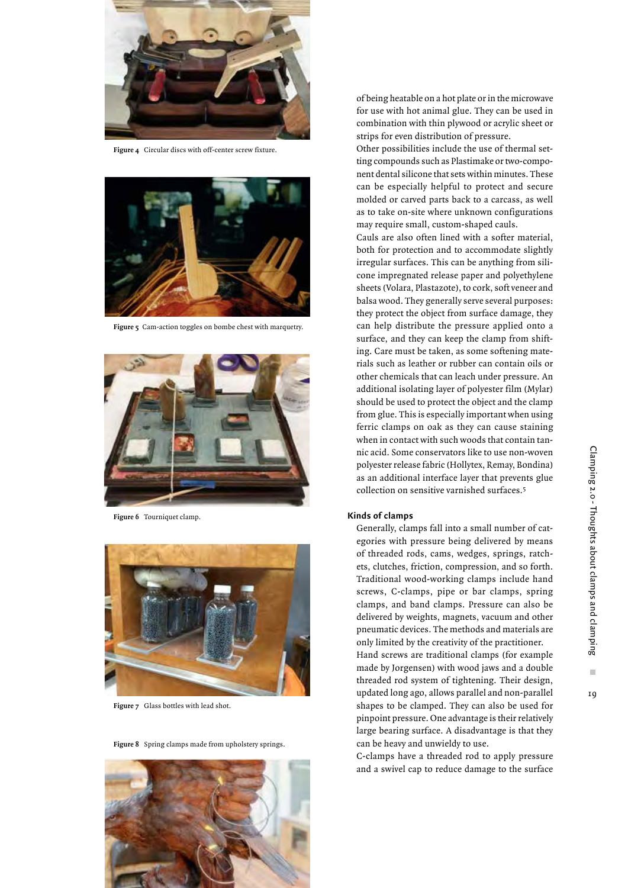

**Figure 4** Circular discs with off-center screw fixture.



**Figure 5** Cam-action toggles on bombe chest with marquetry.



**Figure 6** Tourniquet clamp.



**Figure 7** Glass bottles with lead shot.



**Figure 8** Spring clamps made from upholstery springs.

of being heatable on a hot plate or in the microwave for use with hot animal glue. They can be used in combination with thin plywood or acrylic sheet or strips for even distribution of pressure.

Other possibilities include the use of thermal setting compounds such as Plastimake or two-component dental silicone that sets within minutes. These can be especially helpful to protect and secure molded or carved parts back to a carcass, as well as to take on-site where unknown configurations may require small, custom-shaped cauls.

Cauls are also often lined with a softer material, both for protection and to accommodate slightly irregular surfaces. This can be anything from silicone impregnated release paper and polyethylene sheets (Volara, Plastazote), to cork, soft veneer and balsa wood. They generally serve several purposes: they protect the object from surface damage, they can help distribute the pressure applied onto a surface, and they can keep the clamp from shifting. Care must be taken, as some softening materials such as leather or rubber can contain oils or other chemicals that can leach under pressure. An additional isolating layer of polyester film (Mylar) should be used to protect the object and the clamp from glue. This is especially important when using ferric clamps on oak as they can cause staining when in contact with such woods that contain tannic acid. Some conservators like to use non-woven polyester release fabric (Hollytex, Remay, Bondina) as an additional interface layer that prevents glue collection on sensitive varnished surfaces.5

## **Kinds of clamps**

Generally, clamps fall into a small number of categories with pressure being delivered by means of threaded rods, cams, wedges, springs, ratchets, clutches, friction, compression, and so forth. Traditional wood-working clamps include hand screws, C-clamps, pipe or bar clamps, spring clamps, and band clamps. Pressure can also be delivered by weights, magnets, vacuum and other pneumatic devices. The methods and materials are only limited by the creativity of the practitioner.

Hand screws are traditional clamps (for example made by Jorgensen) with wood jaws and a double threaded rod system of tightening. Their design, updated long ago, allows parallel and non-parallel shapes to be clamped. They can also be used for pinpoint pressure. One advantage is their relatively large bearing surface. A disadvantage is that they can be heavy and unwieldy to use.

C-clamps have a threaded rod to apply pressure and a swivel cap to reduce damage to the surface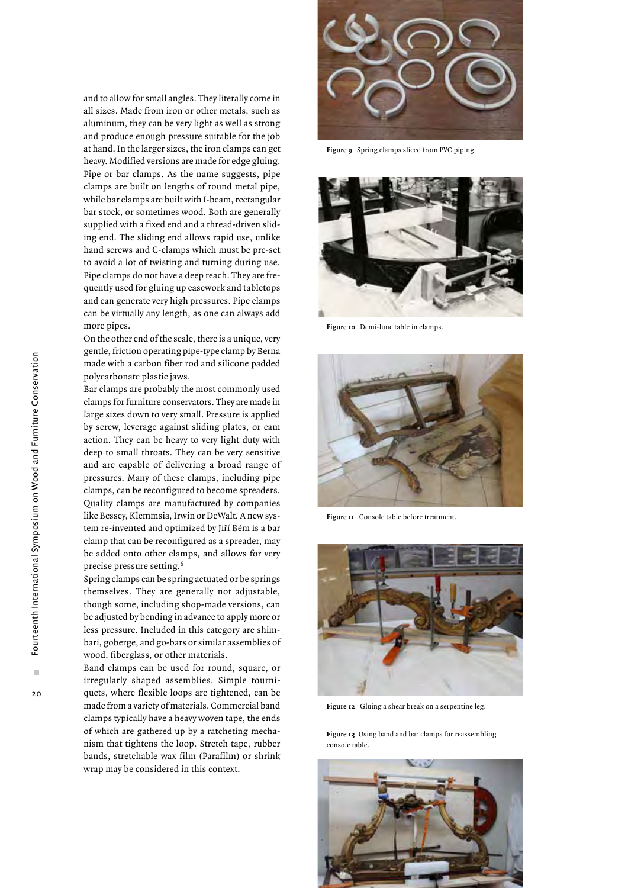×

20

and to allow for small angles. They literally come in all sizes. Made from iron or other metals, such as aluminum, they can be very light as well as strong and produce enough pressure suitable for the job at hand. In the larger sizes, the iron clamps can get heavy. Modified versions are made for edge gluing. Pipe or bar clamps. As the name suggests, pipe clamps are built on lengths of round metal pipe, while bar clamps are built with I-beam, rectangular bar stock, or sometimes wood. Both are generally supplied with a fixed end and a thread-driven sliding end. The sliding end allows rapid use, unlike hand screws and C-clamps which must be pre-set to avoid a lot of twisting and turning during use. Pipe clamps do not have a deep reach. They are frequently used for gluing up casework and tabletops and can generate very high pressures. Pipe clamps can be virtually any length, as one can always add more pipes.

On the other end of the scale, there is a unique, very gentle, friction operating pipe-type clamp by Berna made with a carbon fiber rod and silicone padded polycarbonate plastic jaws.

Bar clamps are probably the most commonly used clamps for furniture conservators. They are made in large sizes down to very small. Pressure is applied by screw, leverage against sliding plates, or cam action. They can be heavy to very light duty with deep to small throats. They can be very sensitive and are capable of delivering a broad range of pressures. Many of these clamps, including pipe clamps, can be reconfigured to become spreaders. Quality clamps are manufactured by companies like Bessey, Klemmsia, Irwin or DeWalt. A new system re-invented and optimized by Jiří Bém is a bar clamp that can be reconfigured as a spreader, may be added onto other clamps, and allows for very precise pressure setting.6

Spring clamps can be spring actuated or be springs themselves. They are generally not adjustable, though some, including shop-made versions, can be adjusted by bending in advance to apply more or less pressure. Included in this category are shimbari, goberge, and go-bars or similar assemblies of wood, fiberglass, or other materials.

Band clamps can be used for round, square, or irregularly shaped assemblies. Simple tourniquets, where flexible loops are tightened, can be made from a variety of materials. Commercial band clamps typically have a heavy woven tape, the ends of which are gathered up by a ratcheting mechanism that tightens the loop. Stretch tape, rubber bands, stretchable wax film (Parafilm) or shrink wrap may be considered in this context.



**Figure 9** Spring clamps sliced from PVC piping.



**Figure 10** Demi-lune table in clamps.



**Figure 11** Console table before treatment.



**Figure 12** Gluing a shear break on a serpentine leg.

**Figure 13** Using band and bar clamps for reassembling console table.

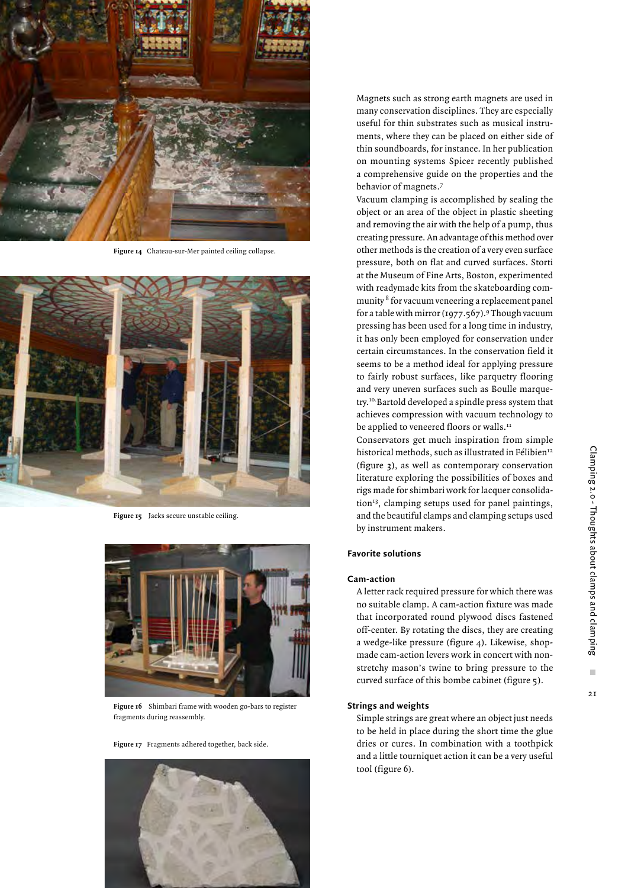

**Figure 14** Chateau-sur-Mer painted ceiling collapse.



**Figure 15** Jacks secure unstable ceiling.



**Figure 16** Shimbari frame with wooden go-bars to register fragments during reassembly.

**Figure 17** Fragments adhered together, back side.



Magnets such as strong earth magnets are used in many conservation disciplines. They are especially useful for thin substrates such as musical instruments, where they can be placed on either side of thin soundboards, for instance. In her publication on mounting systems Spicer recently published a comprehensive guide on the properties and the behavior of magnets.7

Vacuum clamping is accomplished by sealing the object or an area of the object in plastic sheeting and removing the air with the help of a pump, thus creating pressure. An advantage of this method over other methods is the creation of a very even surface pressure, both on flat and curved surfaces. Storti at the Museum of Fine Arts, Boston, experimented with readymade kits from the skateboarding community 8 for vacuum veneering a replacement panel for a table with mirror  $(1977.567).$ <sup>9</sup> Though vacuum pressing has been used for a long time in industry, it has only been employed for conservation under certain circumstances. In the conservation field it seems to be a method ideal for applying pressure to fairly robust surfaces, like parquetry flooring and very uneven surfaces such as Boulle marquetry.10.Bartold developed a spindle press system that achieves compression with vacuum technology to be applied to veneered floors or walls.<sup>11</sup>

Conservators get much inspiration from simple historical methods, such as illustrated in Félibien<sup>12</sup> (figure 3), as well as contemporary conservation literature exploring the possibilities of boxes and rigs made for shimbari work for lacquer consolidation $13$ , clamping setups used for panel paintings, and the beautiful clamps and clamping setups used by instrument makers.

#### **Favorite solutions**

#### **Cam-action**

A letter rack required pressure for which there was no suitable clamp. A cam-action fixture was made that incorporated round plywood discs fastened off-center. By rotating the discs, they are creating a wedge-like pressure (figure 4). Likewise, shopmade cam-action levers work in concert with nonstretchy mason's twine to bring pressure to the curved surface of this bombe cabinet (figure 5).

#### **Strings and weights**

Simple strings are great where an object just needs to be held in place during the short time the glue dries or cures. In combination with a toothpick and a little tourniquet action it can be a very useful tool (figure 6).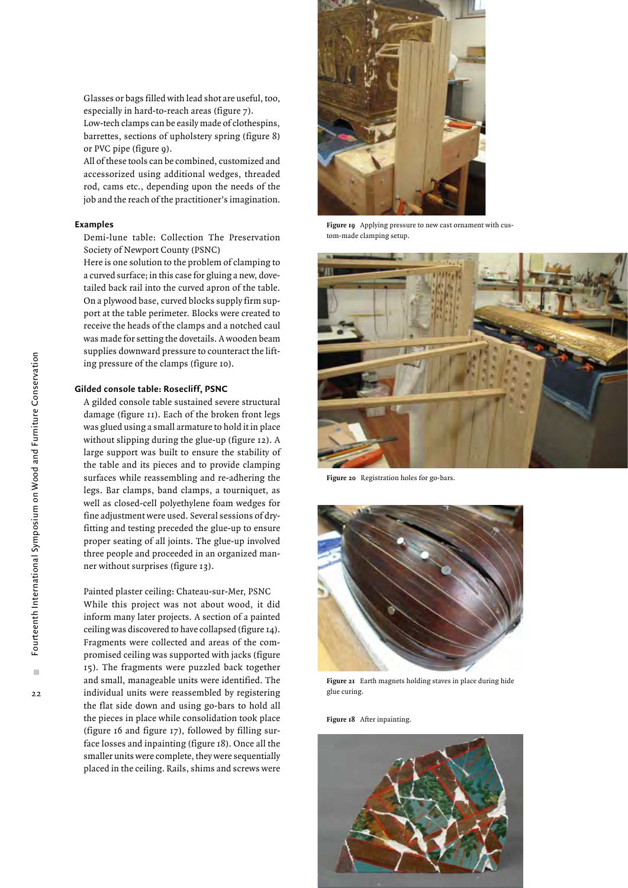Glasses or bags filled with lead shot are useful, too, especially in hard-to-reach areas (figure 7).

Low-tech clamps can be easily made of clothespins, barrettes, sections of upholstery spring (figure 8) or PVC pipe (figure 9).

All of these tools can be combined, customized and accessorized using additional wedges, threaded rod, cams etc., depending upon the needs of the job and the reach of the practitioner's imagination.

#### **Examples**

Demi-lune table: Collection The Preservation Society of Newport County (PSNC)

Here is one solution to the problem of clamping to a curved surface; in this case for gluing a new, dovetailed back rail into the curved apron of the table. On a plywood base, curved blocks supply firm support at the table perimeter. Blocks were created to receive the heads of the clamps and a notched caul was made for setting the dovetails. A wooden beam supplies downward pressure to counteract the lifting pressure of the clamps (figure 10).

### **Gilded console table: Rosecliff, PSNC**

A gilded console table sustained severe structural damage (figure 11). Each of the broken front legs was glued using a small armature to hold it in place without slipping during the glue-up (figure 12). A large support was built to ensure the stability of the table and its pieces and to provide clamping surfaces while reassembling and re-adhering the legs. Bar clamps, band clamps, a tourniquet, as well as closed-cell polyethylene foam wedges for fine adjustment were used. Several sessions of dryfitting and testing preceded the glue-up to ensure proper seating of all joints. The glue-up involved three people and proceeded in an organized manner without surprises (figure 13).

Painted plaster ceiling: Chateau-sur-Mer, PSNC While this project was not about wood, it did inform many later projects. A section of a painted ceiling was discovered to have collapsed (figure 14). Fragments were collected and areas of the compromised ceiling was supported with jacks (figure 15). The fragments were puzzled back together and small, manageable units were identified. The individual units were reassembled by registering the flat side down and using go-bars to hold all the pieces in place while consolidation took place (figure 16 and figure 17), followed by filling surface losses and inpainting (figure 18). Once all the smaller units were complete, they were sequentially placed in the ceiling. Rails, shims and screws were



**Figure 19** Applying pressure to new cast ornament with custom-made clamping setup.



**Figure 20** Registration holes for go-bars.



**Figure 21** Earth magnets holding staves in place during hide glue curing.

**Figure 18** After inpainting.

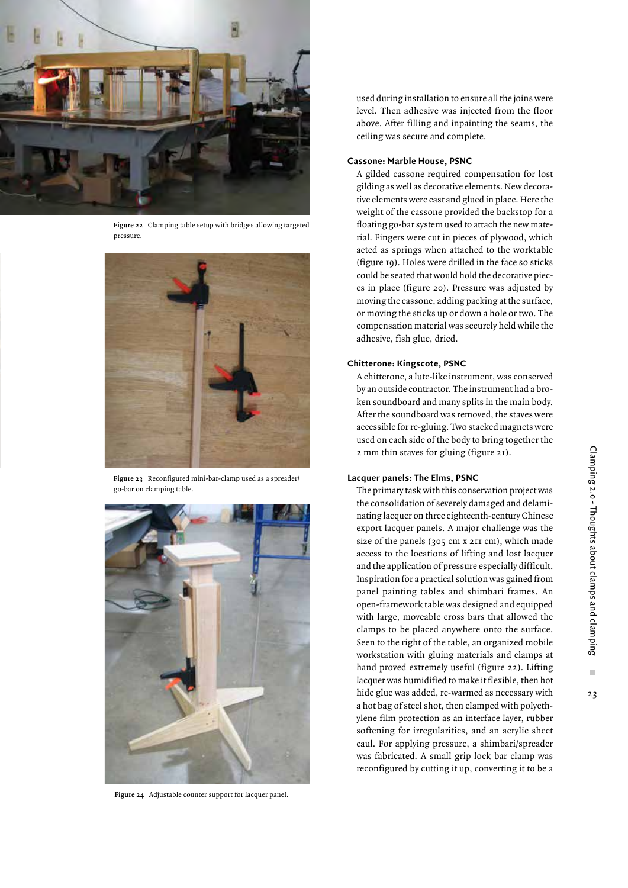

**Figure 22** Clamping table setup with bridges allowing targeted pressure.



**Figure 23** Reconfigured mini-bar-clamp used as a spreader/ go-bar on clamping table.



**Figure 24** Adjustable counter support for lacquer panel.

used during installation to ensure all the joins were level. Then adhesive was injected from the floor above. After filling and inpainting the seams, the ceiling was secure and complete.

#### **Cassone: Marble House, PSNC**

A gilded cassone required compensation for lost gilding as well as decorative elements. New decorative elements were cast and glued in place. Here the weight of the cassone provided the backstop for a floating go-bar system used to attach the new material. Fingers were cut in pieces of plywood, which acted as springs when attached to the worktable (figure 19). Holes were drilled in the face so sticks could be seated that would hold the decorative pieces in place (figure 20). Pressure was adjusted by moving the cassone, adding packing at the surface, or moving the sticks up or down a hole or two. The compensation material was securely held while the adhesive, fish glue, dried.

## **Chitterone: Kingscote, PSNC**

A chitterone, a lute-like instrument, was conserved by an outside contractor. The instrument had a broken soundboard and many splits in the main body. After the soundboard was removed, the staves were accessible for re-gluing. Two stacked magnets were used on each side of the body to bring together the 2 mm thin staves for gluing (figure 21).

# **Lacquer panels: The Elms, PSNC**

The primary task with this conservation project was the consolidation of severely damaged and delaminating lacquer on three eighteenth-century Chinese export lacquer panels. A major challenge was the size of the panels (305 cm x 211 cm), which made access to the locations of lifting and lost lacquer and the application of pressure especially difficult. Inspiration for a practical solution was gained from panel painting tables and shimbari frames. An open-framework table was designed and equipped with large, moveable cross bars that allowed the clamps to be placed anywhere onto the surface. Seen to the right of the table, an organized mobile workstation with gluing materials and clamps at hand proved extremely useful (figure 22). Lifting lacquer was humidified to make it flexible, then hot hide glue was added, re-warmed as necessary with a hot bag of steel shot, then clamped with polyethylene film protection as an interface layer, rubber softening for irregularities, and an acrylic sheet caul. For applying pressure, a shimbari/spreader was fabricated. A small grip lock bar clamp was reconfigured by cutting it up, converting it to be a